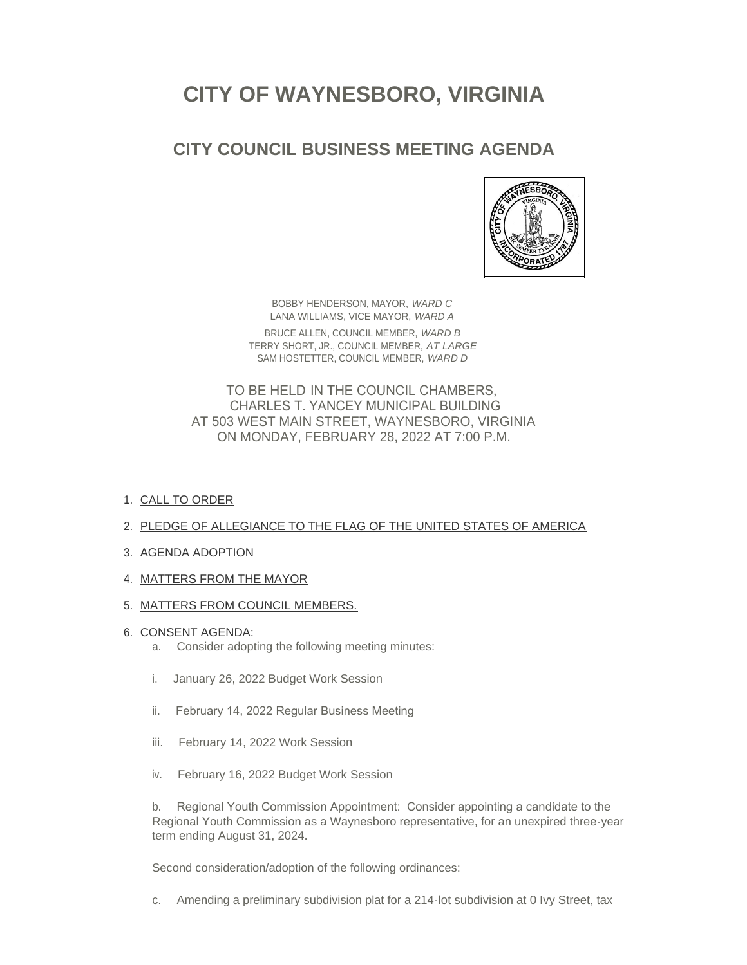# **CITY OF WAYNESBORO, VIRGINIA**

## **CITY COUNCIL BUSINESS MEETING AGENDA**



BOBBY HENDERSON, MAYOR, *WARD C* LANA WILLIAMS, VICE MAYOR, *WARD A* BRUCE ALLEN, COUNCIL MEMBER, *WARD B* TERRY SHORT, JR., COUNCIL MEMBER, *AT LARGE* SAM HOSTETTER, COUNCIL MEMBER, *WARD D*

TO BE HELD IN THE COUNCIL CHAMBERS, CHARLES T. YANCEY MUNICIPAL BUILDING AT 503 WEST MAIN STREET, WAYNESBORO, VIRGINIA ON MONDAY, FEBRUARY 28, 2022 AT 7:00 P.M.

- 1. <u>CALL TO ORDER</u>
- 2. PLEDGE OF ALLEGIANCE TO THE FLAG OF THE UNITED STATES OF AMERICA
- 3. AGENDA ADOPTION
- 4. MATTERS FROM THE MAYOR
- 5. <u>MATTERS FROM COUNCIL MEMBERS.</u>
- 6. <u>CONSENT AGENDA:</u>
	- a. Consider adopting the following meeting minutes:
	- i. January 26, 2022 Budget Work Session
	- ii. February 14, 2022 Regular Business Meeting
	- iii. February 14, 2022 Work Session
	- iv. February 16, 2022 Budget Work Session

b. Regional Youth Commission Appointment: Consider appointing a candidate to the Regional Youth Commission as a Waynesboro representative, for an unexpired three-year term ending August 31, 2024.

Second consideration/adoption of the following ordinances:

c. Amending a preliminary subdivision plat for a 214-lot subdivision at 0 Ivy Street, tax